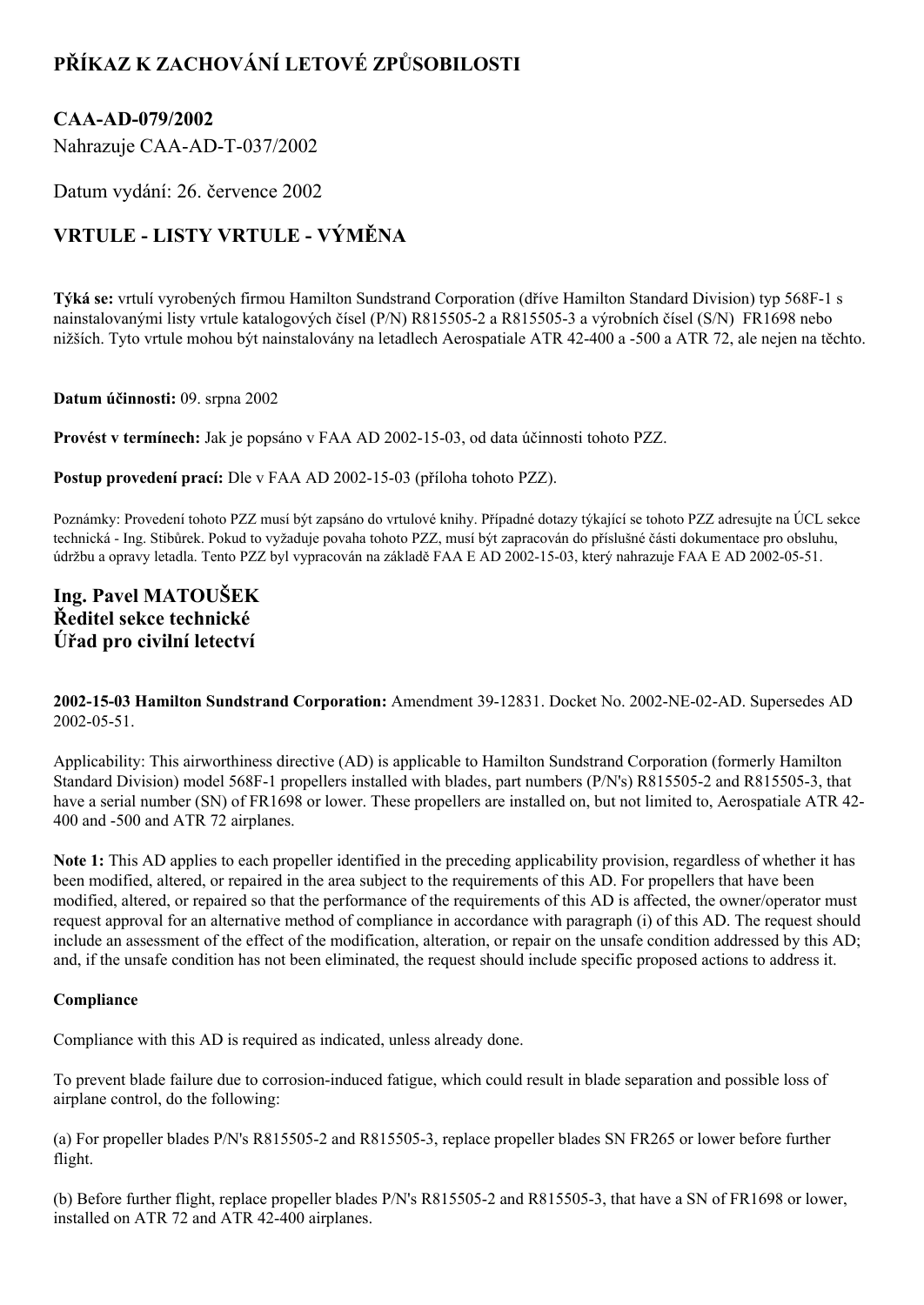# **PŘÍKAZ K ZACHOVÁNÍ LETOVÉ ZPŮSOBILOSTI**

### **CAAAD079/2002**

Nahrazuje CAA-AD-T-037/2002

Datum vydání: 26. července 2002

## **VRTULE LISTY VRTULE VÝMĚNA**

**Týká se:** vrtulí vyrobených firmou Hamilton Sundstrand Corporation (dříve Hamilton Standard Division) typ 568F1 s nainstalovanými listy vrtule katalogových čísel (P/N) R815505-2 a R815505-3 a výrobních čísel (S/N) FR1698 nebo nižších. Tyto vrtule mohou být nainstalovány na letadlech Aerospatiale ATR 42400 a 500 a ATR 72, ale nejen na těchto.

#### **Datum účinnosti:** 09. srpna 2002

Provést v termínech: Jak je popsáno v FAA AD 2002-15-03, od data účinnosti tohoto PZZ.

**Postup provedení prací:** Dle v FAA AD 2002-15-03 (příloha tohoto PZZ).

Poznámky: Provedení tohoto PZZ musí být zapsáno do vrtulové knihy. Případné dotazy týkající se tohoto PZZ adresujte na ÚCL sekce technická Ing. Stibůrek. Pokud to vyžaduje povaha tohoto PZZ, musí být zapracován do příslušné části dokumentace pro obsluhu, údržbu a opravy letadla. Tento PZZ byl vypracován na základě FAA E AD 2002-15-03, který nahrazuje FAA E AD 2002-05-51.

### **Ing. Pavel MATOUŠEK Ředitel sekce technické Úřad pro civilní letectví**

**2002-15-03 Hamilton Sundstrand Corporation:** Amendment 39-12831. Docket No. 2002-NE-02-AD. Supersedes AD  $2002 - 05 - 51$ .

Applicability: This airworthiness directive (AD) is applicable to Hamilton Sundstrand Corporation (formerly Hamilton Standard Division) model 568F-1 propellers installed with blades, part numbers (P/N's) R815505-2 and R815505-3, that have a serial number (SN) of FR1698 or lower. These propellers are installed on, but not limited to, Aerospatiale ATR 42-400 and 500 and ATR 72 airplanes.

**Note 1:** This AD applies to each propeller identified in the preceding applicability provision, regardless of whether it has been modified, altered, or repaired in the area subject to the requirements of this AD. For propellers that have been modified, altered, or repaired so that the performance of the requirements of this AD is affected, the owner/operator must request approval for an alternative method of compliance in accordance with paragraph (i) of this AD. The request should include an assessment of the effect of the modification, alteration, or repair on the unsafe condition addressed by this AD; and, if the unsafe condition has not been eliminated, the request should include specific proposed actions to address it.

#### **Compliance**

Compliance with this AD is required as indicated, unless already done.

To prevent blade failure due to corrosion-induced fatigue, which could result in blade separation and possible loss of airplane control, do the following:

(a) For propeller blades P/N's R8155052 and R8155053, replace propeller blades SN FR265 or lower before further flight.

(b) Before further flight, replace propeller blades  $P/N$ 's R815505-2 and R815505-3, that have a SN of FR1698 or lower, installed on ATR 72 and ATR 42-400 airplanes.